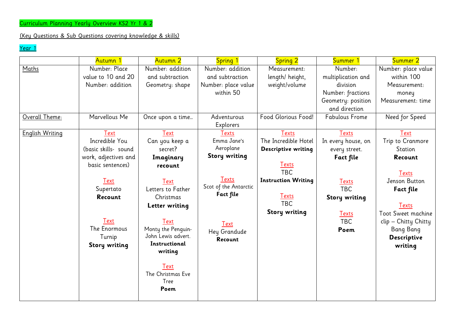## (Key Questions & Sub Questions covering knowledge & skills)

Year 1

|                        | Autumn 1             | Autumn 2                  | Spring 1              | <b>Spring 2</b>            | Summer 1              | Summer 2             |
|------------------------|----------------------|---------------------------|-----------------------|----------------------------|-----------------------|----------------------|
| Maths                  | Number: Place        | Number: addition          | Number: addition      | Measurement:               | Number:               | Number: place value  |
|                        | value to 10 and 20   | and subtraction           | and subtraction       | length/ height,            | multiplication and    | within 100           |
|                        | Number: addition     | Geometry: shape           | Number: place value   | weight/volume              | division              | Measurement:         |
|                        |                      |                           | within 50             |                            | Number: fractions     | money                |
|                        |                      |                           |                       |                            | Geometry: position    | Measurement: time    |
|                        |                      |                           |                       |                            | and direction         |                      |
| Overall Theme:         | Marvellous Me        | Once upon a time          | Adventurous           | Food Glorious Food!        | <b>Fabulous Frome</b> | Need for Speed       |
|                        |                      |                           | <b>Explorers</b>      |                            |                       |                      |
| <b>English Writing</b> | Text                 | Text                      | Texts                 | <b>Texts</b>               | <u>Texts</u>          | <u>Text</u>          |
|                        | Incredible You       | Can you keep a            | Emma Jane's           | The Incredible Hotel       | In every house, on    | Trip to Cranmore     |
|                        | (basic skills- sound | secret?                   | Aeroplane             | <b>Descriptive writing</b> | every street.         | Station              |
|                        | work, adjectives and | Imaginary                 | <b>Story writing</b>  |                            | <b>Fact file</b>      | Recount              |
|                        | basic sentences)     | recount                   |                       | <u>Texts</u>               |                       |                      |
|                        |                      |                           |                       | <b>TBC</b>                 |                       | Texts                |
|                        | <u>Text</u>          | Text                      | <b>Texts</b>          | <b>Instruction Writing</b> | <u>Texts</u>          | Jenson Button        |
|                        | Supertato            | Letters to Father         | Scot of the Antarctic |                            | <b>TBC</b>            | Fact file            |
|                        | Recount              | Christmas                 | <b>Fact file</b>      | <u>Texts</u>               | <b>Story writing</b>  |                      |
|                        |                      | Letter writing            |                       | <b>TBC</b>                 |                       | <b>Texts</b>         |
|                        |                      |                           |                       | <b>Story writing</b>       | <b>Texts</b>          | Toot Sweet machine   |
|                        | Text                 | Text                      | <u>Text</u>           |                            | <b>TBC</b>            | clip – Chitty Chitty |
|                        | The Enormous         | Monty the Penguin-        | Hey Grandude          |                            | Poem                  | <b>Bang Bang</b>     |
|                        | Turnip               | John Lewis advert.        | Recount               |                            |                       | <b>Descriptive</b>   |
|                        | <b>Story writing</b> | Instructional             |                       |                            |                       | writing              |
|                        |                      | writing                   |                       |                            |                       |                      |
|                        |                      |                           |                       |                            |                       |                      |
|                        |                      | Text<br>The Christmas Eve |                       |                            |                       |                      |
|                        |                      | <b>Tree</b>               |                       |                            |                       |                      |
|                        |                      | Poem                      |                       |                            |                       |                      |
|                        |                      |                           |                       |                            |                       |                      |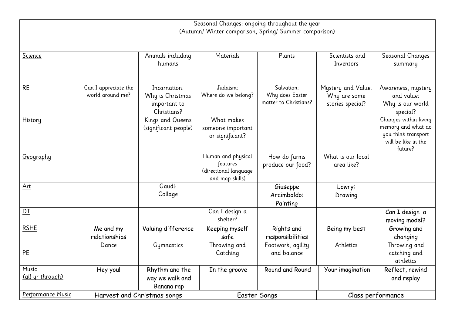|                   | Seasonal Changes: ongoing throughout the year          |                      |                                |                       |                    |                       |  |  |
|-------------------|--------------------------------------------------------|----------------------|--------------------------------|-----------------------|--------------------|-----------------------|--|--|
|                   | (Autumn/ Winter comparison, Spring/ Summer comparison) |                      |                                |                       |                    |                       |  |  |
|                   |                                                        |                      |                                |                       |                    |                       |  |  |
|                   |                                                        |                      |                                |                       |                    |                       |  |  |
| Science           |                                                        | Animals including    | Materials                      | Plants                | Scientists and     | Seasonal Changes      |  |  |
|                   |                                                        | humans               |                                |                       | Inventors          | summary               |  |  |
|                   |                                                        |                      |                                |                       |                    |                       |  |  |
|                   |                                                        |                      |                                |                       |                    |                       |  |  |
| RE                | Can I appreciate the                                   | Incarnation:         | Judaism:                       | Salvation:            | Mystery and Value: | Awareness, mystery    |  |  |
|                   | world around me?                                       | Why is Christmas     | Where do we belong?            | Why does Easter       | Why are some       | and value:            |  |  |
|                   |                                                        | important to         |                                | matter to Christians? | stories special?   | Why is our world      |  |  |
|                   |                                                        | Christians?          |                                |                       |                    | special?              |  |  |
| History           |                                                        | Kings and Queens     | What makes                     |                       |                    | Changes within living |  |  |
|                   |                                                        | (significant people) | someone important              |                       |                    | memory and what do    |  |  |
|                   |                                                        |                      | or significant?                |                       |                    | you think transport   |  |  |
|                   |                                                        |                      |                                |                       |                    | will be like in the   |  |  |
|                   |                                                        |                      |                                |                       | What is our local  | future?               |  |  |
| Geography         |                                                        |                      | Human and physical<br>features | How do farms          |                    |                       |  |  |
|                   |                                                        |                      | (directional language          | produce our food?     | area like?         |                       |  |  |
|                   |                                                        |                      | and map skills)                |                       |                    |                       |  |  |
| <u>Art</u>        |                                                        | Gaudi:               |                                | Giuseppe              | Lowry:             |                       |  |  |
|                   |                                                        | Collage              |                                | Arcimboldo:           | Drawing            |                       |  |  |
|                   |                                                        |                      |                                | Painting              |                    |                       |  |  |
| DT                |                                                        |                      | Can I design a                 |                       |                    | Can I design a        |  |  |
|                   |                                                        |                      | shelter?                       |                       |                    | moving model?         |  |  |
| <b>RSHE</b>       | Me and my                                              | Valuing difference   | Keeping myself                 | Rights and            | Being my best      | Growing and           |  |  |
|                   | relationships                                          |                      | safe                           | responsibilities      |                    | changing              |  |  |
|                   | Dance                                                  | Gymnastics           | Throwing and                   | Footwork, agility     | Athletics          | Throwing and          |  |  |
| PE                |                                                        |                      | Catching                       | and balance           |                    | catching and          |  |  |
|                   |                                                        |                      |                                |                       |                    | athletics             |  |  |
| Music             | Hey you!                                               | Rhythm and the       | In the groove                  | Round and Round       | Your imagination   | Reflect, rewind       |  |  |
| (all yr through)  |                                                        | way we walk and      |                                |                       |                    | and replay            |  |  |
|                   |                                                        | Banana rap           |                                |                       |                    |                       |  |  |
| Performance Music | Harvest and Christmas songs                            |                      | Easter Songs                   |                       | Class performance  |                       |  |  |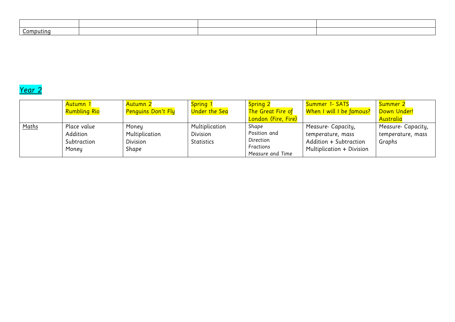| Computina |  |  |
|-----------|--|--|

## Year 2

|       | Autumn 1            | Autumn 2                        | Spring 1          | <b>Spring 2</b>                | Summer 1- SATS            | Summer 2           |
|-------|---------------------|---------------------------------|-------------------|--------------------------------|---------------------------|--------------------|
|       | <b>Rumbling Rio</b> | <mark>Penguins Don't Fly</mark> | Under the Sea     | <mark>The Great Fire of</mark> | When I will I be famous?  | Down Under!        |
|       |                     |                                 |                   | London (Fire, Fire)            |                           | Australia          |
| Maths | Place value         | Money                           | Multiplication    | Shape                          | Measure- Capacity,        | Measure- Capacity, |
|       | Addition            | Multiplication                  | Division          | Position and                   | temperature, mass         | temperature, mass  |
|       | Subtraction         | Division                        | <b>Statistics</b> | Direction                      | Addition + Subtraction    | Graphs             |
|       | Money               | Shape                           |                   | Fractions                      | Multiplication + Division |                    |
|       |                     |                                 |                   | Measure and Time               |                           |                    |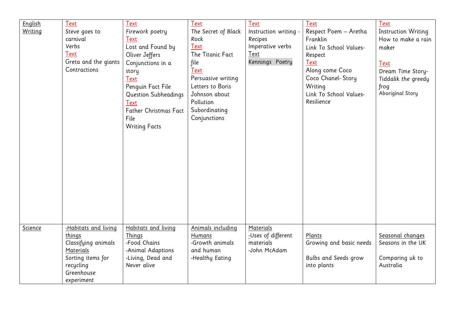| English<br>Writing | Text<br>Steve goes to<br>carnival<br>Verbs<br><b>Text</b><br>Greta and the giants<br>Contractions                                | Text<br>Firework poetry<br><u>Text</u><br>Lost and Found by<br>Oliver Jeffers<br>Conjunctions in a<br>story<br>Text<br>Penguin Fact File<br>Question Subheadings<br><u>Text</u><br><b>Father Christmas Fact</b><br>File<br><b>Writing Facts</b> | Text<br>The Secret of Black<br>Rock<br>Text<br>The Titanic Fact<br>file<br>Text<br>Persuasive writing<br>Letters to Boris<br>Johnson about<br>Pollution<br>Subordinating<br>Conjunctions | <u>Text</u><br>Instruction writing -<br>Recipes<br>Imperative verbs<br>Text<br>Kennings Poetry | Text<br>Respect Poem - Aretha<br>Franklin<br>Link To School Values-<br>Respect<br><b>Text</b><br>Along come Coco<br>Coco Chanel-Story<br>Writing<br>Link To School Values-<br>Resilience | Text<br><b>Instruction Writing</b><br>How to make a rain<br>maker<br>Text<br>Dream Time Story-<br>Tiddalik the greedy<br>frog<br>Aboriginal Story |
|--------------------|----------------------------------------------------------------------------------------------------------------------------------|-------------------------------------------------------------------------------------------------------------------------------------------------------------------------------------------------------------------------------------------------|------------------------------------------------------------------------------------------------------------------------------------------------------------------------------------------|------------------------------------------------------------------------------------------------|------------------------------------------------------------------------------------------------------------------------------------------------------------------------------------------|---------------------------------------------------------------------------------------------------------------------------------------------------|
| Science            | -Habitats and living<br>things<br>Classifying animals<br>Materials<br>Sorting items for<br>recycling<br>Greenhouse<br>experiment | Habitats and living<br>Things<br>-Food Chains<br>-Animal Adaptions<br>-Living, Dead and<br>Never alive                                                                                                                                          | Animals including<br>Humans<br>-Growth animals<br>and human<br>-Healthy Eating                                                                                                           | Materials<br>-Uses of different<br>materials<br>-John McAdam                                   | Plants<br>Growing and basic needs<br>Bulbs and Seeds grow<br>into plants                                                                                                                 | Seasonal changes<br>Seasons in the UK<br>Comparing uk to<br>Australia                                                                             |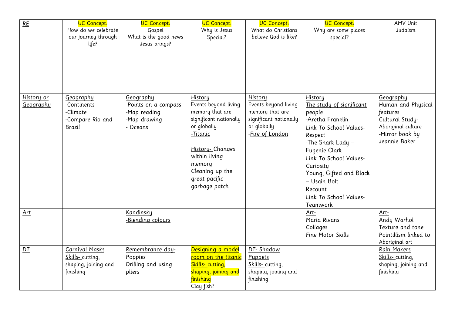| RE                      | <b>UC Concept:</b><br>How do we celebrate<br>our journey through<br>life?     | <b>UC Concept:</b><br>Gospel<br>What is the good news<br>Jesus brings?        | UC Concept:<br>Why is Jesus<br>Special?                                                                                                                                                                    | <b>UC Concept:</b><br>What do Christians<br>believe God is like?                                                      | UC Concept:<br>Why are some places<br>special?                                                                                                                                                                                                                                         | AMV Unit<br>Judaism                                                                                                      |
|-------------------------|-------------------------------------------------------------------------------|-------------------------------------------------------------------------------|------------------------------------------------------------------------------------------------------------------------------------------------------------------------------------------------------------|-----------------------------------------------------------------------------------------------------------------------|----------------------------------------------------------------------------------------------------------------------------------------------------------------------------------------------------------------------------------------------------------------------------------------|--------------------------------------------------------------------------------------------------------------------------|
| History or<br>Geography | Geography<br>-Continents<br>-Climate<br>-Compare Rio and<br>Brazil            | Geography<br>-Points on a compass<br>-Map reading<br>-Map drawing<br>- Oceans | History<br>Events beyond living<br>memory that are<br>significant nationally<br>or globally<br>-Titanic<br>History-Changes<br>within living<br>memory<br>Cleaning up the<br>great pacific<br>garbage patch | <b>History</b><br>Events beyond living<br>memory that are<br>significant nationally<br>or globally<br>-Fire of London | <b>History</b><br>The study of significant<br>people<br>-Aretha Franklin<br>Link To School Values-<br>Respect<br>-The Shark Lady -<br>Eugenie Clark<br>Link To School Values-<br>Curiosity<br>Young, Gifted and Black<br>- Usain Bolt<br>Recount<br>Link To School Values-<br>Teamwork | Geography<br>Human and Physical<br>features<br>Cultural Study-<br>Aboriginal culture<br>-Mirror book by<br>Jeannie Baker |
| Art                     |                                                                               | Kandinsky<br>-Blending colours                                                |                                                                                                                                                                                                            |                                                                                                                       | Art-<br>Maria Rivans<br>Collages<br>Fine Motor Skills                                                                                                                                                                                                                                  | Art-<br>Andy Warhol<br>Texture and tone<br>Pointillism linked to<br>Aboriginal art                                       |
| DT                      | <b>Carnival Masks</b><br>Skills-cutting,<br>shaping, joining and<br>finishing | Remembrance day-<br>Poppies<br>Drilling and using<br>pliers                   | Designing a model<br>room on the titanic<br>Skills- cutting,<br>shaping, joining and<br><b>finishing</b><br>Clay fish?                                                                                     | DT- Shadow<br>Puppets<br>Skills-cutting,<br>shaping, joining and<br>finishing                                         |                                                                                                                                                                                                                                                                                        | Rain Makers<br>Skills-cutting,<br>shaping, joining and<br>finishing                                                      |